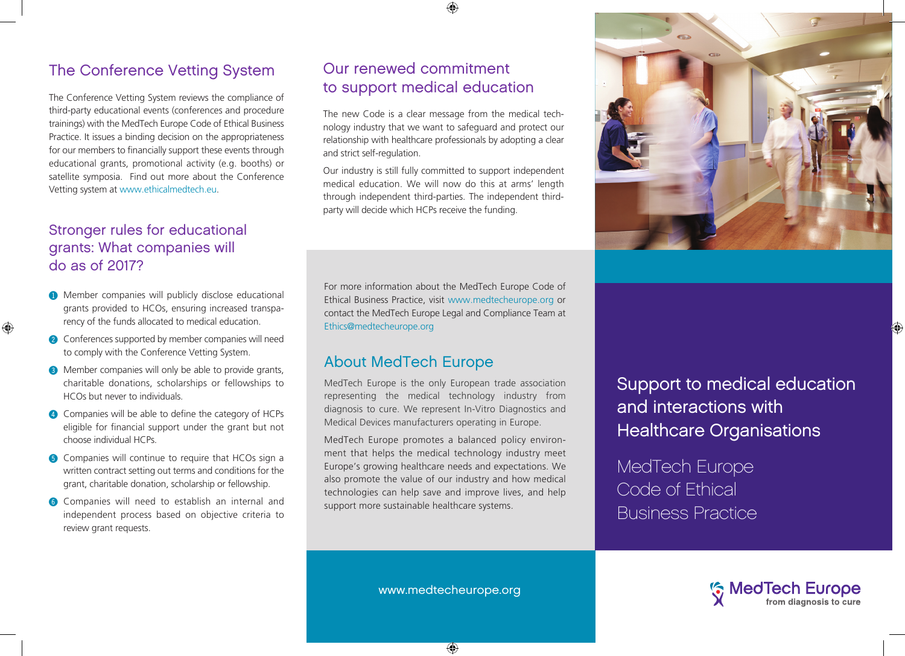# The Conference Vetting System

The Conference Vetting System reviews the compliance of third-party educational events (conferences and procedure trainings) with the MedTech Europe Code of Ethical Business Practice. It issues a binding decision on the appropriateness for our members to financially support these events through educational grants, promotional activity (e.g. booths) or satellite symposia. Find out more about the Conference Vetting system at www.ethicalmedtech.eu.

# Stronger rules for educational grants: What companies will do as of 2017?

 $\bigoplus$ 

- **1** Member companies will publicly disclose educational grants provided to HCOs, ensuring increased transparency of the funds allocated to medical education.
- @ Conferences supported by member companies will need to comply with the Conference Vetting System.
- **3** Member companies will only be able to provide grants, charitable donations, scholarships or fellowships to HCOs but never to individuals.
- 4 Companies will be able to define the category of HCPs eligible for financial support under the grant but not choose individual HCPs.
- **6** Companies will continue to require that HCOs sign a written contract setting out terms and conditions for the grant, charitable donation, scholarship or fellowship.
- **6** Companies will need to establish an internal and independent process based on objective criteria to review grant requests.

# Our renewed commitment to support medical education

The new Code is a clear message from the medical technology industry that we want to safeguard and protect our relationship with healthcare professionals by adopting a clear and strict self-regulation.

Our industry is still fully committed to support independent medical education. We will now do this at arms' length through independent third-parties. The independent thirdparty will decide which HCPs receive the funding.

For more information about the MedTech Europe Code of Ethical Business Practice, visit www.medtecheurope.org or contact the MedTech Europe Legal and Compliance Team at Ethics@medtecheurope.org

# About MedTech Europe

MedTech Europe is the only European trade association representing the medical technology industry from diagnosis to cure. We represent In-Vitro Diagnostics and Medical Devices manufacturers operating in Europe.

MedTech Europe promotes a balanced policy environment that helps the medical technology industry meet Europe's growing healthcare needs and expectations. We also promote the value of our industry and how medical technologies can help save and improve lives, and help support more sustainable healthcare systems.

Support to medical education and interactions with Healthcare Organisations

MedTech Europe Code of Ethical Business Practice



www.medtecheurope.org

⊕